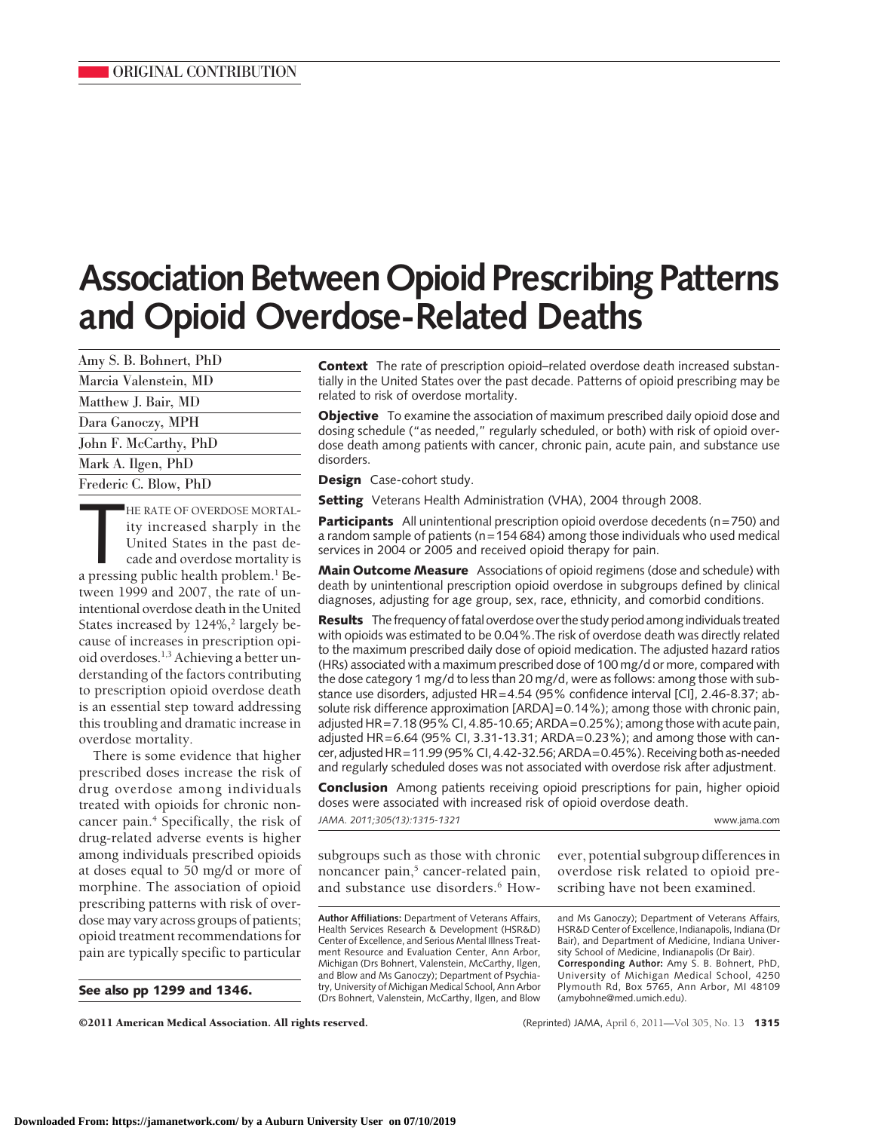# **Association BetweenOpioid Prescribing Patterns and Opioid Overdose-Related Deaths**

| Amy S. B. Bohnert, PhD |
|------------------------|
| Marcia Valenstein, MD  |
| Matthew J. Bair, MD    |
| Dara Ganoczy, MPH      |
| John F. McCarthy, PhD  |
| Mark A. Ilgen, PhD     |
|                        |

Frederic C. Blow, PhD

HE RATE OF OVERDOSE MORTAL-<br>ity increased sharply in the<br>United States in the past de-<br>cade and overdose mortality is<br>a pressing public health problem.<sup>1</sup> Be-HE RATE OF OVERDOSE MORTALity increased sharply in the United States in the past decade and overdose mortality is tween 1999 and 2007, the rate of unintentional overdose death in the United States increased by  $124\%,$ <sup>2</sup> largely because of increases in prescription opioid overdoses.1,3 Achieving a better understanding of the factors contributing to prescription opioid overdose death is an essential step toward addressing this troubling and dramatic increase in overdose mortality.

There is some evidence that higher prescribed doses increase the risk of drug overdose among individuals treated with opioids for chronic noncancer pain.<sup>4</sup> Specifically, the risk of drug-related adverse events is higher among individuals prescribed opioids at doses equal to 50 mg/d or more of morphine. The association of opioid prescribing patterns with risk of overdose may vary across groups of patients; opioid treatment recommendations for pain are typically specific to particular

**See also pp 1299 and 1346.**

**Context** The rate of prescription opioid–related overdose death increased substantially in the United States over the past decade. Patterns of opioid prescribing may be related to risk of overdose mortality.

**Objective** To examine the association of maximum prescribed daily opioid dose and dosing schedule ("as needed," regularly scheduled, or both) with risk of opioid overdose death among patients with cancer, chronic pain, acute pain, and substance use disorders.

**Design** Case-cohort study.

**Setting** Veterans Health Administration (VHA), 2004 through 2008.

**Participants** All unintentional prescription opioid overdose decedents (n=750) and a random sample of patients ( $n=154 684$ ) among those individuals who used medical services in 2004 or 2005 and received opioid therapy for pain.

**Main Outcome Measure** Associations of opioid regimens (dose and schedule) with death by unintentional prescription opioid overdose in subgroups defined by clinical diagnoses, adjusting for age group, sex, race, ethnicity, and comorbid conditions.

**Results** The frequency of fatal overdose over the study period among individuals treated with opioids was estimated to be 0.04%.The risk of overdose death was directly related to the maximum prescribed daily dose of opioid medication. The adjusted hazard ratios (HRs) associated with a maximum prescribed dose of 100 mg/d or more, compared with the dose category 1 mg/d to less than 20 mg/d, were as follows: among those with substance use disorders, adjusted HR=4.54 (95% confidence interval [CI], 2.46-8.37; absolute risk difference approximation [ARDA]=0.14%); among those with chronic pain, adjusted HR=7.18 (95% CI, 4.85-10.65; ARDA=0.25%); among those with acute pain, adjusted HR=6.64 (95% CI, 3.31-13.31; ARDA=0.23%); and among those with cancer, adjusted HR=11.99 (95%CI, 4.42-32.56;ARDA=0.45%). Receiving both as-needed and regularly scheduled doses was not associated with overdose risk after adjustment.

**Conclusion** Among patients receiving opioid prescriptions for pain, higher opioid doses were associated with increased risk of opioid overdose death.

*JAMA. 2011;305(13):1315-1321* www.jama.com

subgroups such as those with chronic noncancer pain,<sup>5</sup> cancer-related pain, and substance use disorders.<sup>6</sup> How-

**Author Affiliations:** Department of Veterans Affairs, Health Services Research & Development (HSR&D) Center of Excellence, and Serious Mental Illness Treatment Resource and Evaluation Center, Ann Arbor, Michigan (Drs Bohnert, Valenstein, McCarthy, Ilgen, and Blow and Ms Ganoczy); Department of Psychiatry, University of Michigan Medical School, Ann Arbor (Drs Bohnert, Valenstein, McCarthy, Ilgen, and Blow ever, potential subgroup differences in overdose risk related to opioid prescribing have not been examined.

and Ms Ganoczy); Department of Veterans Affairs, HSR&D Center of Excellence, Indianapolis, Indiana (Dr Bair), and Department of Medicine, Indiana University School of Medicine, Indianapolis (Dr Bair). **Corresponding Author:** Amy S. B. Bohnert, PhD, University of Michigan Medical School, 4250 Plymouth Rd, Box 5765, Ann Arbor, MI 48109 (amybohne@med.umich.edu).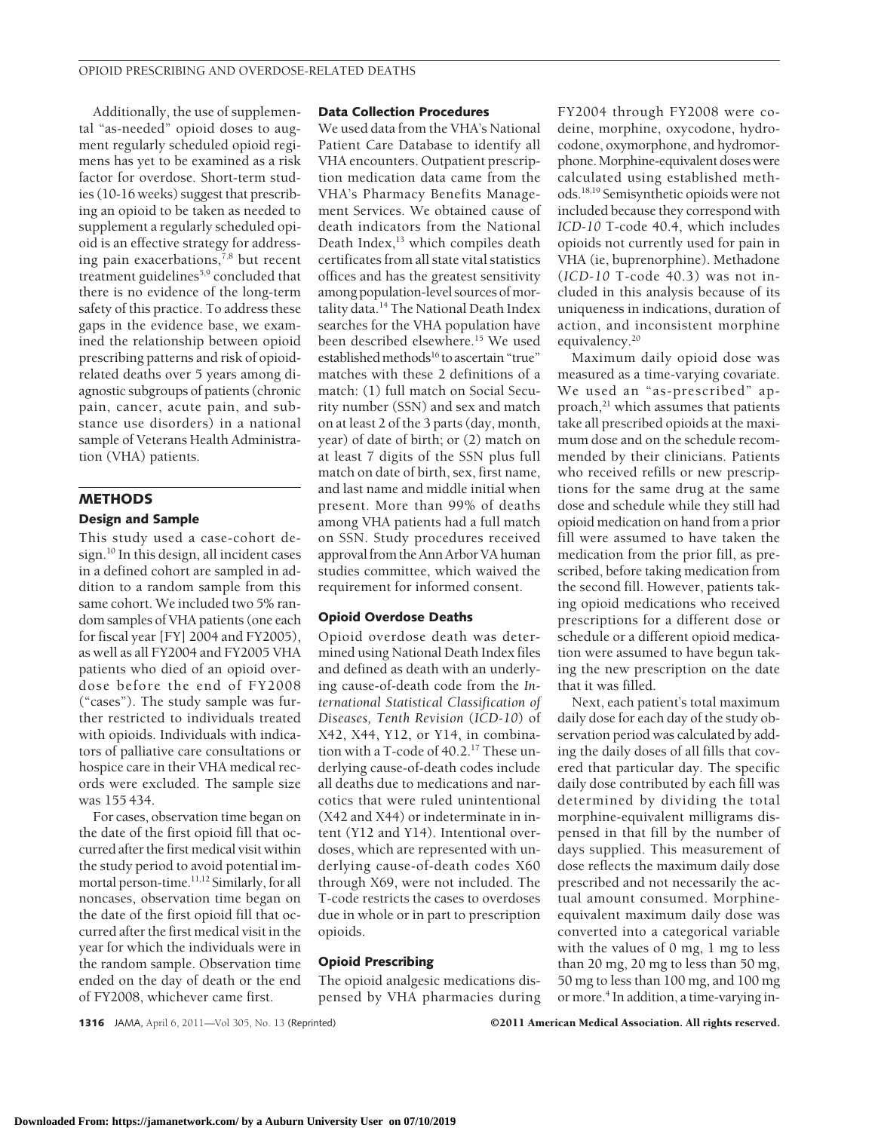Additionally, the use of supplemental "as-needed" opioid doses to augment regularly scheduled opioid regimens has yet to be examined as a risk factor for overdose. Short-term studies (10-16 weeks) suggest that prescribing an opioid to be taken as needed to supplement a regularly scheduled opioid is an effective strategy for addressing pain exacerbations, $7,8$  but recent treatment guidelines<sup>5,9</sup> concluded that there is no evidence of the long-term safety of this practice. To address these gaps in the evidence base, we examined the relationship between opioid prescribing patterns and risk of opioidrelated deaths over 5 years among diagnostic subgroups of patients (chronic pain, cancer, acute pain, and substance use disorders) in a national sample of Veterans Health Administration (VHA) patients.

## **METHODS**

### **Design and Sample**

This study used a case-cohort design.10 In this design, all incident cases in a defined cohort are sampled in addition to a random sample from this same cohort. We included two 5% random samples of VHA patients (one each for fiscal year [FY] 2004 and FY2005), as well as all FY2004 and FY2005 VHA patients who died of an opioid overdose before the end of FY2008 ("cases"). The study sample was further restricted to individuals treated with opioids. Individuals with indicators of palliative care consultations or hospice care in their VHA medical records were excluded. The sample size was 155 434.

For cases, observation time began on the date of the first opioid fill that occurred after the first medical visit within the study period to avoid potential immortal person-time.<sup>11,12</sup> Similarly, for all noncases, observation time began on the date of the first opioid fill that occurred after the first medical visit in the year for which the individuals were in the random sample. Observation time ended on the day of death or the end of FY2008, whichever came first.

#### **Data Collection Procedures**

We used data from the VHA's National Patient Care Database to identify all VHA encounters. Outpatient prescription medication data came from the VHA's Pharmacy Benefits Management Services. We obtained cause of death indicators from the National Death Index,<sup>13</sup> which compiles death certificates from all state vital statistics offices and has the greatest sensitivity among population-level sources of mortality data.14 The National Death Index searches for the VHA population have been described elsewhere.15 We used established methods<sup>16</sup> to ascertain "true" matches with these 2 definitions of a match: (1) full match on Social Security number (SSN) and sex and match on at least 2 of the 3 parts (day, month, year) of date of birth; or (2) match on at least 7 digits of the SSN plus full match on date of birth, sex, first name, and last name and middle initial when present. More than 99% of deaths among VHA patients had a full match on SSN. Study procedures received approval from the Ann Arbor VA human studies committee, which waived the requirement for informed consent.

#### **Opioid Overdose Deaths**

Opioid overdose death was determined using National Death Index files and defined as death with an underlying cause-of-death code from the *International Statistical Classification of Diseases, Tenth Revision* (*ICD-10*) of X42, X44, Y12, or Y14, in combination with a T-code of 40.2.17 These underlying cause-of-death codes include all deaths due to medications and narcotics that were ruled unintentional (X42 and X44) or indeterminate in intent (Y12 and Y14). Intentional overdoses, which are represented with underlying cause-of-death codes X60 through X69, were not included. The T-code restricts the cases to overdoses due in whole or in part to prescription opioids.

#### **Opioid Prescribing**

The opioid analgesic medications dispensed by VHA pharmacies during

FY2004 through FY2008 were codeine, morphine, oxycodone, hydrocodone, oxymorphone, and hydromorphone. Morphine-equivalent doses were calculated using established methods.18,19 Semisynthetic opioids were not included because they correspond with *ICD-10* T-code 40.4, which includes opioids not currently used for pain in VHA (ie, buprenorphine). Methadone (*ICD-10* T-code 40.3) was not included in this analysis because of its uniqueness in indications, duration of action, and inconsistent morphine equivalency.20

Maximum daily opioid dose was measured as a time-varying covariate. We used an "as-prescribed" approach, $^{21}$  which assumes that patients take all prescribed opioids at the maximum dose and on the schedule recommended by their clinicians. Patients who received refills or new prescriptions for the same drug at the same dose and schedule while they still had opioid medication on hand from a prior fill were assumed to have taken the medication from the prior fill, as prescribed, before taking medication from the second fill. However, patients taking opioid medications who received prescriptions for a different dose or schedule or a different opioid medication were assumed to have begun taking the new prescription on the date that it was filled.

Next, each patient's total maximum daily dose for each day of the study observation period was calculated by adding the daily doses of all fills that covered that particular day. The specific daily dose contributed by each fill was determined by dividing the total morphine-equivalent milligrams dispensed in that fill by the number of days supplied. This measurement of dose reflects the maximum daily dose prescribed and not necessarily the actual amount consumed. Morphineequivalent maximum daily dose was converted into a categorical variable with the values of 0 mg, 1 mg to less than 20 mg, 20 mg to less than 50 mg, 50 mg to less than 100 mg, and 100 mg or more.<sup>4</sup> In addition, a time-varying in-

**1316** JAMA, April 6, 2011—Vol 305, No. 13 (Reprinted) ©2011 American Medical Association. All rights reserved.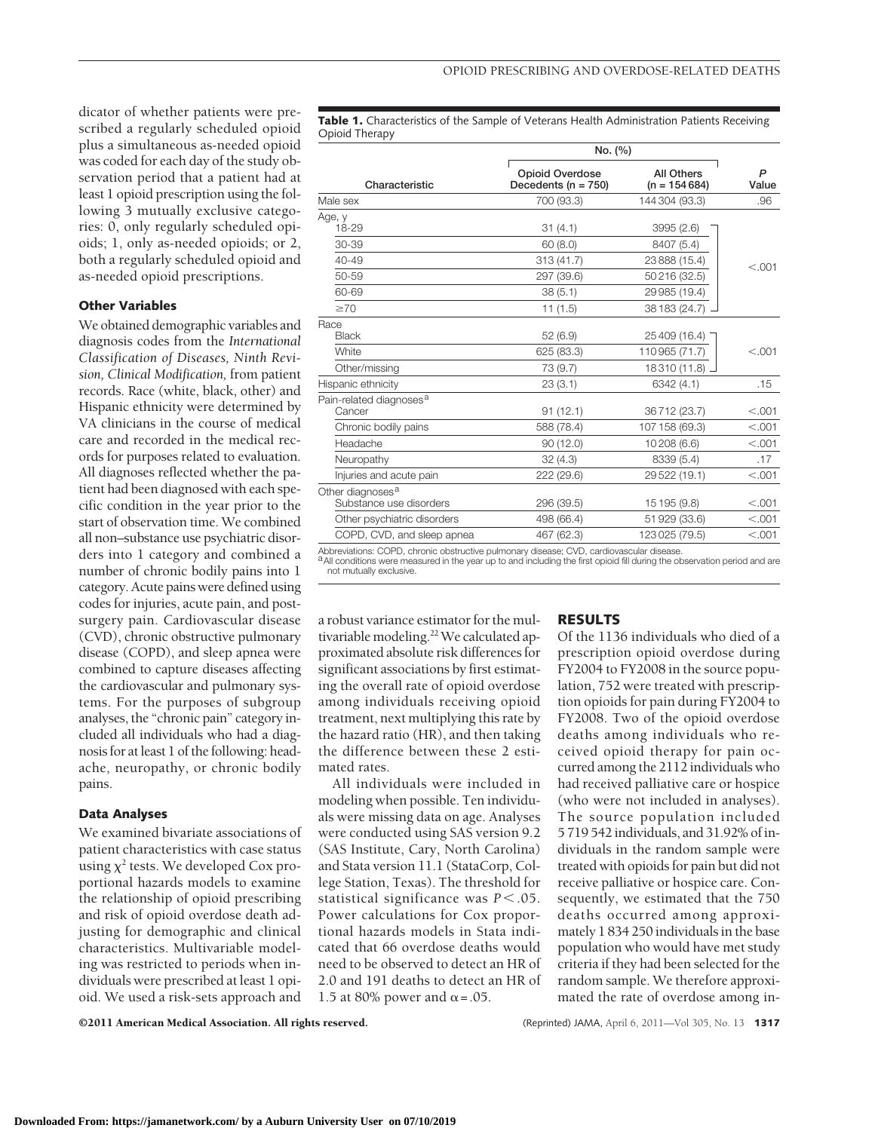dicator of whether patients were prescribed a regularly scheduled opioid plus a simultaneous as-needed opioid was coded for each day of the study observation period that a patient had at least 1 opioid prescription using the following 3 mutually exclusive categories: 0, only regularly scheduled opioids; 1, only as-needed opioids; or 2, both a regularly scheduled opioid and as-needed opioid prescriptions.

#### **Other Variables**

We obtained demographic variables and diagnosis codes from the *International Classification of Diseases, Ninth Revision, Clinical Modification,* from patient records. Race (white, black, other) and Hispanic ethnicity were determined by VA clinicians in the course of medical care and recorded in the medical records for purposes related to evaluation. All diagnoses reflected whether the patient had been diagnosed with each specific condition in the year prior to the start of observation time. We combined all non–substance use psychiatric disorders into 1 category and combined a number of chronic bodily pains into 1 category. Acute pains were defined using codes for injuries, acute pain, and postsurgery pain. Cardiovascular disease (CVD), chronic obstructive pulmonary disease (COPD), and sleep apnea were combined to capture diseases affecting the cardiovascular and pulmonary systems. For the purposes of subgroup analyses, the "chronic pain" category included all individuals who had a diagnosis for at least 1 of the following: headache, neuropathy, or chronic bodily pains.

#### **Data Analyses**

We examined bivariate associations of patient characteristics with case status using  $\chi^2$  tests. We developed Cox proportional hazards models to examine the relationship of opioid prescribing and risk of opioid overdose death adjusting for demographic and clinical characteristics. Multivariable modeling was restricted to periods when individuals were prescribed at least 1 opioid. We used a risk-sets approach and

**Table 1.** Characteristics of the Sample of Veterans Health Administration Patients Receiving Opioid Therapy

|                                                                                                       | No. (%)                                    |                                     |            |
|-------------------------------------------------------------------------------------------------------|--------------------------------------------|-------------------------------------|------------|
| Characteristic                                                                                        | Opioid Overdose<br>Decedents ( $n = 750$ ) | <b>All Others</b><br>$(n = 154684)$ | P<br>Value |
| Male sex                                                                                              | 700 (93.3)                                 | 144 304 (93.3)                      | .96        |
| Age, y<br>18-29                                                                                       | 31(4.1)                                    | 3995 (2.6)                          |            |
| 30-39                                                                                                 | 60(8.0)                                    | 8407 (5.4)                          |            |
| $40 - 49$                                                                                             | 313 (41.7)                                 | 23 888 (15.4)                       | < 0.001    |
| 50-59                                                                                                 | 297 (39.6)                                 | 50 216 (32.5)                       |            |
| 60-69                                                                                                 | 38(5.1)                                    | 29 985 (19.4)                       |            |
| $\geq 70$                                                                                             | 11(1.5)                                    | 38 183 (24.7)                       |            |
| Race<br>Black                                                                                         | 52(6.9)                                    | 25 409 (16.4)                       |            |
| White                                                                                                 | 625 (83.3)                                 | 110 965 (71.7)                      | < 0.001    |
| Other/missing                                                                                         | 73 (9.7)                                   | 18 310 (11.8)                       |            |
| Hispanic ethnicity                                                                                    | 23(3.1)                                    | 6342 (4.1)                          | .15        |
| Pain-related diagnoses <sup>a</sup><br>Cancer                                                         | 91(12.1)                                   | 36712 (23.7)                        | < 0.001    |
| Chronic bodily pains                                                                                  | 588 (78.4)                                 | 107 158 (69.3)                      | < .001     |
| Headache                                                                                              | 90(12.0)                                   | 10 208 (6.6)                        | < .001     |
| Neuropathy                                                                                            | 32(4.3)                                    | 8339 (5.4)                          | .17        |
| Injuries and acute pain                                                                               | 222 (29.6)                                 | 29 522 (19.1)                       | < .001     |
| Other diagnoses <sup>a</sup><br>Substance use disorders                                               | 296 (39.5)                                 | 15 195 (9.8)                        | < 0.001    |
| Other psychiatric disorders                                                                           | 498 (66.4)                                 | 51 929 (33.6)                       | < .001     |
| COPD, CVD, and sleep apnea                                                                            | 467 (62.3)                                 | 123 025 (79.5)                      | < .001     |
| Aleksandrategan. OODD, aleksanta aleksandriin ja daannaan aleksanta. OUD, aleksantariin aleksantariin |                                            |                                     |            |

Abbreviations: COPD, chronic obstructive pulmonary disease; CVD, cardiovascular disease.<br><sup>a</sup> All conditions were measured in the year up to and including the first opioid fill during the observation period and are not mutually exclusive.

a robust variance estimator for the multivariable modeling.<sup>22</sup> We calculated approximated absolute risk differences for significant associations by first estimating the overall rate of opioid overdose among individuals receiving opioid treatment, next multiplying this rate by the hazard ratio (HR), and then taking the difference between these 2 estimated rates.

All individuals were included in modeling when possible. Ten individuals were missing data on age. Analyses were conducted using SAS version 9.2 (SAS Institute, Cary, North Carolina) and Stata version 11.1 (StataCorp, College Station, Texas). The threshold for statistical significance was  $P < .05$ . Power calculations for Cox proportional hazards models in Stata indicated that 66 overdose deaths would need to be observed to detect an HR of 2.0 and 191 deaths to detect an HR of 1.5 at 80% power and  $\alpha$  = .05.

#### **RESULTS**

Of the 1136 individuals who died of a prescription opioid overdose during FY2004 to FY2008 in the source population, 752 were treated with prescription opioids for pain during FY2004 to FY2008. Two of the opioid overdose deaths among individuals who received opioid therapy for pain occurred among the 2112 individuals who had received palliative care or hospice (who were not included in analyses). The source population included 5 719 542 individuals, and 31.92% of individuals in the random sample were treated with opioids for pain but did not receive palliative or hospice care. Consequently, we estimated that the 750 deaths occurred among approximately 1 834 250 individuals in the base population who would have met study criteria if they had been selected for the random sample. We therefore approximated the rate of overdose among in-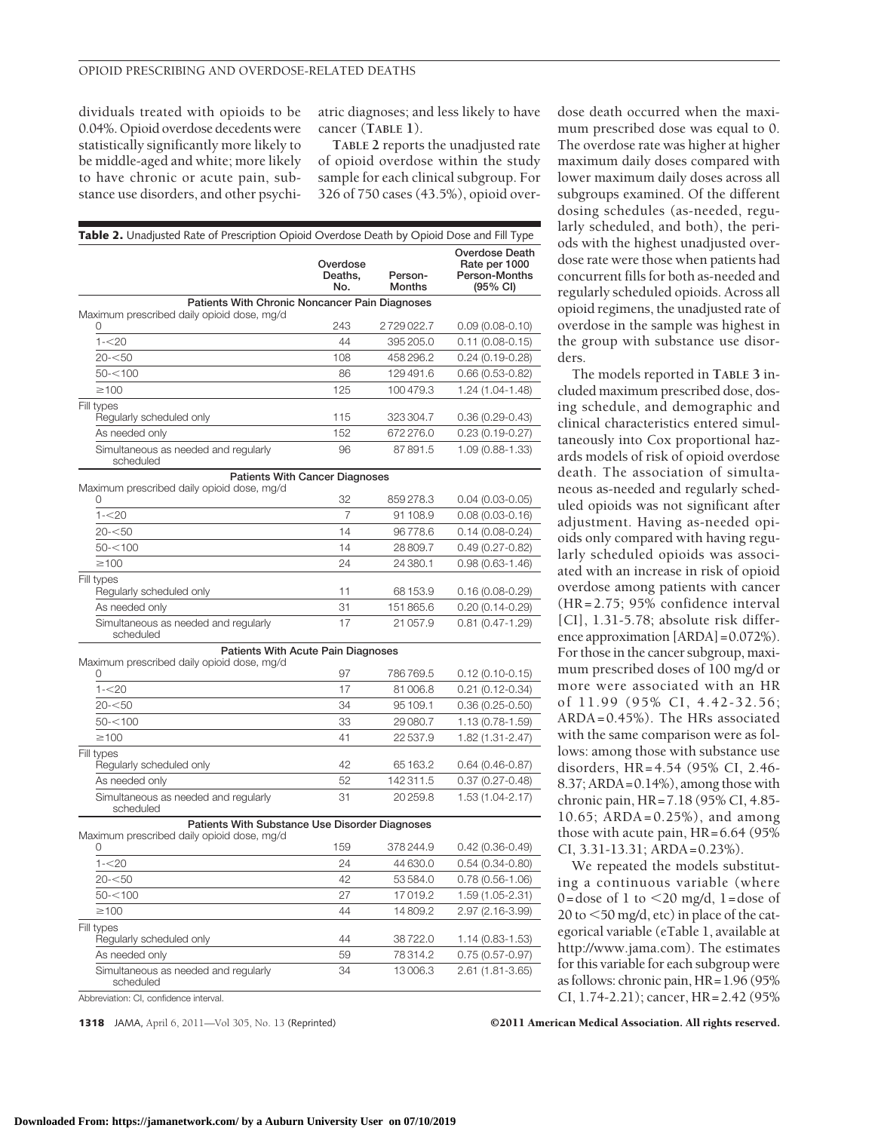dividuals treated with opioids to be 0.04%. Opioid overdose decedents were statistically significantly more likely to be middle-aged and white; more likely to have chronic or acute pain, substance use disorders, and other psychiatric diagnoses; and less likely to have cancer (**TABLE 1**).

**TABLE 2** reports the unadjusted rate of opioid overdose within the study sample for each clinical subgroup. For 326 of 750 cases (43.5%), opioid over-

| Table 2. Unadjusted Rate of Prescription Opioid Overdose Death by Opioid Dose and Fill Type |                            |                          |                                                                               |
|---------------------------------------------------------------------------------------------|----------------------------|--------------------------|-------------------------------------------------------------------------------|
|                                                                                             | Overdose<br>Deaths,<br>No. | Person-<br><b>Months</b> | <b>Overdose Death</b><br>Rate per 1000<br>Person-Months<br>$(95% \text{ Cl})$ |
| Patients With Chronic Noncancer Pain Diagnoses                                              |                            |                          |                                                                               |
| Maximum prescribed daily opioid dose, mg/d<br>0                                             | 243                        | 2729022.7                | $0.09(0.08-0.10)$                                                             |
| $1 - 20$                                                                                    | 44                         | 395 205.0                | 0.11 (0.08-0.15)                                                              |
| 20-<50                                                                                      | 108                        | 458 296.2                | 0.24 (0.19-0.28)                                                              |
| $50 - 100$                                                                                  | 86                         | 129491.6                 | 0.66 (0.53-0.82)                                                              |
| $\geq$ 100                                                                                  | 125                        | 100479.3                 | 1.24 (1.04-1.48)                                                              |
| Fill types                                                                                  |                            |                          |                                                                               |
| Regularly scheduled only                                                                    | 115                        | 323 304.7                | $0.36(0.29 - 0.43)$                                                           |
| As needed only                                                                              | 152                        | 672276.0                 | 0.23 (0.19-0.27)                                                              |
| Simultaneous as needed and regularly<br>scheduled                                           | 96                         | 87891.5                  | 1.09 (0.88-1.33)                                                              |
| <b>Patients With Cancer Diagnoses</b>                                                       |                            |                          |                                                                               |
| Maximum prescribed daily opioid dose, mg/d<br>0                                             | 32                         | 859278.3                 | $0.04(0.03 - 0.05)$                                                           |
| $1 - 20$                                                                                    | 7                          | 91 108.9                 | $0.08(0.03 - 0.16)$                                                           |
| 20-<50                                                                                      | 14                         | 96778.6                  | 0.14 (0.08-0.24)                                                              |
| $50 - 100$                                                                                  | 14                         | 28809.7                  | $0.49(0.27 - 0.82)$                                                           |
| $\geq$ 100                                                                                  | 24                         | 24 380.1                 | 0.98 (0.63-1.46)                                                              |
| Fill types                                                                                  |                            |                          |                                                                               |
| Regularly scheduled only                                                                    | 11                         | 68 153.9                 | 0.16 (0.08-0.29)                                                              |
| As needed only                                                                              | 31                         | 151865.6                 | $0.20(0.14-0.29)$                                                             |
| Simultaneous as needed and regularly<br>scheduled                                           | 17                         | 21057.9                  | 0.81 (0.47-1.29)                                                              |
| Patients With Acute Pain Diagnoses                                                          |                            |                          |                                                                               |
| Maximum prescribed daily opioid dose, mg/d<br>U                                             | 97                         | 786769.5                 | $0.12(0.10-0.15)$                                                             |
| $1 - 20$                                                                                    | 17                         | 81006.8                  | $0.21(0.12 - 0.34)$                                                           |
| 20-<50                                                                                      | 34                         | 95 109.1                 | $0.36(0.25-0.50)$                                                             |
| $50 - 100$                                                                                  | 33                         | 29 080.7                 | 1.13 (0.78-1.59)                                                              |
| $\geq$ 100                                                                                  | 41                         | 22537.9                  | 1.82 (1.31-2.47)                                                              |
| Fill types                                                                                  |                            |                          |                                                                               |
| Regularly scheduled only                                                                    | 42                         | 65 163.2                 | $0.64(0.46-0.87)$                                                             |
| As needed only                                                                              | 52                         | 142311.5                 | $0.37(0.27 - 0.48)$                                                           |
| Simultaneous as needed and regularly<br>scheduled                                           | 31                         | 20259.8                  | 1.53 (1.04-2.17)                                                              |
| Patients With Substance Use Disorder Diagnoses                                              |                            |                          |                                                                               |
| Maximum prescribed daily opioid dose, mg/d<br>0                                             | 159                        | 378 244.9                | 0.42 (0.36-0.49)                                                              |
| $1 - 20$                                                                                    | 24                         | 44 630.0                 | $0.54(0.34 - 0.80)$                                                           |
| 20- $<$ 50                                                                                  | 42                         | 53584.0                  | 0.78 (0.56-1.06)                                                              |
| $50 - 100$                                                                                  | 27                         | 17019.2                  | 1.59 (1.05-2.31)                                                              |
| $\geq$ 100                                                                                  | 44                         | 14809.2                  | 2.97 (2.16-3.99)                                                              |
| Fill types                                                                                  |                            |                          |                                                                               |
| Regularly scheduled only                                                                    | 44                         | 38722.0                  | 1.14 (0.83-1.53)                                                              |
| As needed only                                                                              | 59                         | 78314.2                  | $0.75(0.57 - 0.97)$                                                           |
| Simultaneous as needed and regularly<br>scheduled                                           | 34                         | 13006.3                  | 2.61 (1.81-3.65)                                                              |

Abbreviation: CI, confidence interval.

dose death occurred when the maximum prescribed dose was equal to 0. The overdose rate was higher at higher maximum daily doses compared with lower maximum daily doses across all subgroups examined. Of the different dosing schedules (as-needed, regularly scheduled, and both), the periods with the highest unadjusted overdose rate were those when patients had concurrent fills for both as-needed and regularly scheduled opioids. Across all opioid regimens, the unadjusted rate of overdose in the sample was highest in the group with substance use disorders.

The models reported in **TABLE 3** included maximum prescribed dose, dosing schedule, and demographic and clinical characteristics entered simultaneously into Cox proportional hazards models of risk of opioid overdose death. The association of simultaneous as-needed and regularly scheduled opioids was not significant after adjustment. Having as-needed opioids only compared with having regularly scheduled opioids was associated with an increase in risk of opioid overdose among patients with cancer (HR=2.75; 95% confidence interval [CI], 1.31-5.78; absolute risk difference approximation [ARDA]=0.072%). For those in the cancer subgroup, maximum prescribed doses of 100 mg/d or more were associated with an HR of 11.99 (95% CI, 4.42-32.56; ARDA=0.45%). The HRs associated with the same comparison were as follows: among those with substance use disorders, HR=4.54 (95% CI, 2.46- 8.37; ARDA=0.14%), among those with chronic pain, HR=7.18 (95% CI, 4.85- 10.65; ARDA=0.25%), and among those with acute pain, HR=6.64 (95% CI, 3.31-13.31; ARDA=0.23%).

We repeated the models substituting a continuous variable (where 0=dose of 1 to  $\leq$ 20 mg/d, 1=dose of 20 to  $\leq$  50 mg/d, etc) in place of the categorical variable (eTable 1, available at http://www.jama.com). The estimates for this variable for each subgroup were as follows: chronic pain, HR=1.96 (95% CI, 1.74-2.21); cancer, HR=2.42 (95%

**1318** JAMA, April 6, 2011—Vol 305, No. 13 (Reprinted) ©2011 American Medical Association. All rights reserved.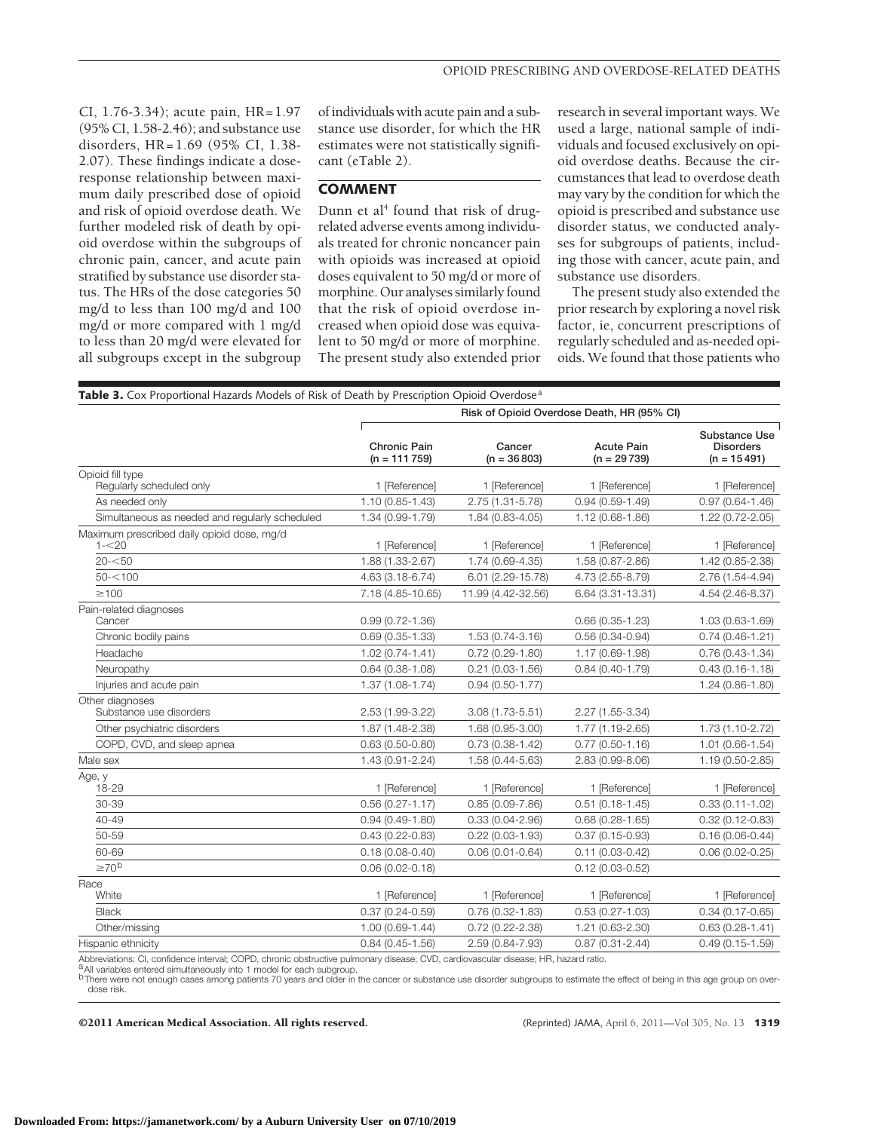CI, 1.76-3.34); acute pain, HR=1.97 (95% CI, 1.58-2.46); and substance use disorders, HR=1.69 (95% CI, 1.38- 2.07). These findings indicate a doseresponse relationship between maximum daily prescribed dose of opioid and risk of opioid overdose death. We further modeled risk of death by opioid overdose within the subgroups of chronic pain, cancer, and acute pain stratified by substance use disorder status. The HRs of the dose categories 50 mg/d to less than 100 mg/d and 100 mg/d or more compared with 1 mg/d to less than 20 mg/d were elevated for all subgroups except in the subgroup

of individuals with acute pain and a substance use disorder, for which the HR estimates were not statistically significant (eTable 2).

### **COMMENT**

Dunn et al<sup>4</sup> found that risk of drugrelated adverse events among individuals treated for chronic noncancer pain with opioids was increased at opioid doses equivalent to 50 mg/d or more of morphine. Our analyses similarly found that the risk of opioid overdose increased when opioid dose was equivalent to 50 mg/d or more of morphine. The present study also extended prior

research in several important ways. We used a large, national sample of individuals and focused exclusively on opioid overdose deaths. Because the circumstances that lead to overdose death may vary by the condition for which the opioid is prescribed and substance use disorder status, we conducted analyses for subgroups of patients, including those with cancer, acute pain, and substance use disorders.

The present study also extended the prior research by exploring a novel risk factor, ie, concurrent prescriptions of regularly scheduled and as-needed opioids. We found that those patients who

|                                                        | Risk of Opioid Overdose Death, HR (95% CI) |                         |                                    |                                                    |  |
|--------------------------------------------------------|--------------------------------------------|-------------------------|------------------------------------|----------------------------------------------------|--|
|                                                        | <b>Chronic Pain</b><br>$(n = 111759)$      | Cancer<br>$(n = 36803)$ | <b>Acute Pain</b><br>$(n = 29739)$ | Substance Use<br><b>Disorders</b><br>$(n = 15491)$ |  |
| Opioid fill type<br>Regularly scheduled only           | 1 [Reference]                              | 1 [Reference]           | 1 [Reference]                      | 1 [Reference]                                      |  |
| As needed only                                         | $1.10(0.85 - 1.43)$                        | 2.75 (1.31-5.78)        | $0.94(0.59 - 1.49)$                | $0.97(0.64 - 1.46)$                                |  |
| Simultaneous as needed and regularly scheduled         | 1.34 (0.99-1.79)                           | 1.84 (0.83-4.05)        | 1.12 (0.68-1.86)                   | $1.22(0.72 - 2.05)$                                |  |
| Maximum prescribed daily opioid dose, mg/d<br>$1 - 20$ | 1 [Reference]                              | 1 [Reference]           | 1 [Reference]                      | 1 [Reference]                                      |  |
| $20 - 50$                                              | 1.88 (1.33-2.67)                           | 1.74 (0.69-4.35)        | 1.58 (0.87-2.86)                   | 1.42 (0.85-2.38)                                   |  |
| $50 - 100$                                             | 4.63 (3.18-6.74)                           | 6.01 (2.29-15.78)       | 4.73 (2.55-8.79)                   | 2.76 (1.54-4.94)                                   |  |
| $\geq 100$                                             | 7.18 (4.85-10.65)                          | 11.99 (4.42-32.56)      | 6.64 (3.31-13.31)                  | 4.54 (2.46-8.37)                                   |  |
| Pain-related diagnoses<br>Cancer                       | $0.99(0.72 - 1.36)$                        |                         | $0.66(0.35-1.23)$                  | 1.03 (0.63-1.69)                                   |  |
| Chronic bodily pains                                   | $0.69(0.35 - 1.33)$                        | 1.53 (0.74-3.16)        | $0.56(0.34 - 0.94)$                | $0.74(0.46 - 1.21)$                                |  |
| Headache                                               | $1.02(0.74 - 1.41)$                        | $0.72(0.29 - 1.80)$     | 1.17 (0.69-1.98)                   | $0.76(0.43 - 1.34)$                                |  |
| Neuropathy                                             | $0.64(0.38 - 1.08)$                        | $0.21(0.03 - 1.56)$     | $0.84(0.40-1.79)$                  | $0.43(0.16 - 1.18)$                                |  |
| Injuries and acute pain                                | $1.37(1.08-1.74)$                          | $0.94(0.50 - 1.77)$     |                                    | $1.24(0.86 - 1.80)$                                |  |
| Other diagnoses<br>Substance use disorders             | 2.53 (1.99-3.22)                           | $3.08(1.73 - 5.51)$     | 2.27 (1.55-3.34)                   |                                                    |  |
| Other psychiatric disorders                            | 1.87 (1.48-2.38)                           | 1.68 (0.95-3.00)        | 1.77 (1.19-2.65)                   | 1.73 (1.10-2.72)                                   |  |
| COPD, CVD, and sleep apnea                             | $0.63(0.50 - 0.80)$                        | $0.73(0.38 - 1.42)$     | $0.77(0.50 - 1.16)$                | $1.01(0.66 - 1.54)$                                |  |
| Male sex                                               | 1.43 (0.91-2.24)                           | 1.58 (0.44-5.63)        | 2.83 (0.99-8.06)                   | 1.19 (0.50-2.85)                                   |  |
| Age, y<br>18-29                                        | 1 [Reference]                              | 1 [Reference]           | 1 [Reference]                      | 1 [Reference]                                      |  |
| 30-39                                                  | $0.56(0.27 - 1.17)$                        | $0.85(0.09 - 7.86)$     | $0.51(0.18 - 1.45)$                | $0.33(0.11 - 1.02)$                                |  |
| 40-49                                                  | $0.94(0.49-1.80)$                          | $0.33(0.04 - 2.96)$     | $0.68(0.28 - 1.65)$                | $0.32(0.12 - 0.83)$                                |  |
| 50-59                                                  | $0.43(0.22 - 0.83)$                        | $0.22(0.03 - 1.93)$     | $0.37(0.15 - 0.93)$                | $0.16(0.06 - 0.44)$                                |  |
| 60-69                                                  | $0.18(0.08 - 0.40)$                        | $0.06(0.01 - 0.64)$     | $0.11(0.03 - 0.42)$                | $0.06(0.02 - 0.25)$                                |  |
| $\geq 70^b$                                            | $0.06(0.02 - 0.18)$                        |                         | $0.12(0.03 - 0.52)$                |                                                    |  |
| Race<br>White                                          | 1 [Reference]                              | 1 [Reference]           | 1 [Reference]                      | 1 [Reference]                                      |  |
| <b>Black</b>                                           | $0.37(0.24 - 0.59)$                        | $0.76(0.32 - 1.83)$     | $0.53(0.27 - 1.03)$                | $0.34(0.17 - 0.65)$                                |  |
| Other/missing                                          | $1.00(0.69 - 1.44)$                        | $0.72(0.22 - 2.38)$     | 1.21 (0.63-2.30)                   | $0.63(0.28 - 1.41)$                                |  |
| Hispanic ethnicity                                     | $0.84(0.45 - 1.56)$                        | 2.59 (0.84-7.93)        | $0.87(0.31 - 2.44)$                | $0.49(0.15 - 1.59)$                                |  |
|                                                        |                                            |                         |                                    |                                                    |  |

Abbreviations: CI, confidence interval; COPD, chronic obstructive pulmonary disease; CVD, cardiovascular disease; HR, hazard ratio.<br><sup>a</sup> All variables entered simultaneously into 1 model for each subgroup.

b There were not enough cases among patients 70 years and older in the cancer or substance use disorder subgroups to estimate the effect of being in this age group on overdose risk.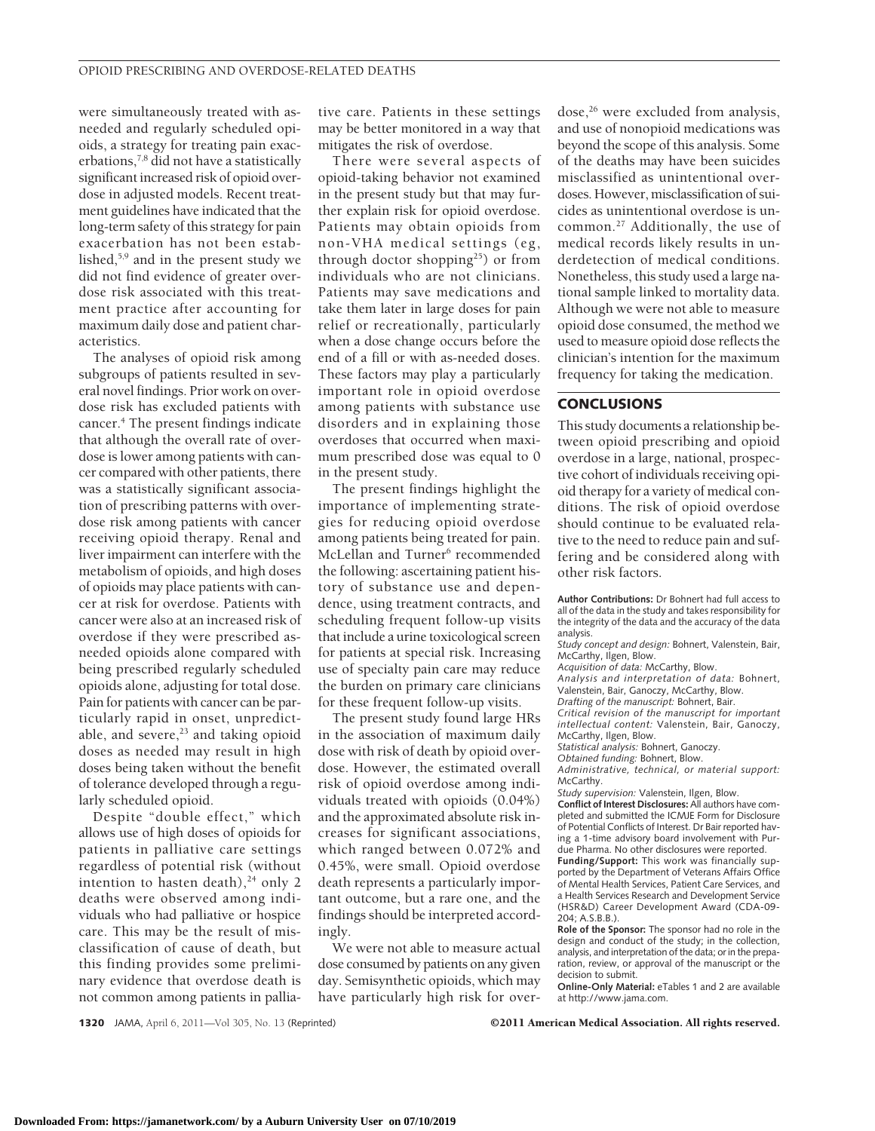were simultaneously treated with asneeded and regularly scheduled opioids, a strategy for treating pain exacerbations, $7,8$  did not have a statistically significant increased risk of opioid overdose in adjusted models. Recent treatment guidelines have indicated that the long-term safety of this strategy for pain exacerbation has not been established,5,9 and in the present study we did not find evidence of greater overdose risk associated with this treatment practice after accounting for maximum daily dose and patient characteristics.

The analyses of opioid risk among subgroups of patients resulted in several novel findings. Prior work on overdose risk has excluded patients with cancer.4 The present findings indicate that although the overall rate of overdose is lower among patients with cancer compared with other patients, there was a statistically significant association of prescribing patterns with overdose risk among patients with cancer receiving opioid therapy. Renal and liver impairment can interfere with the metabolism of opioids, and high doses of opioids may place patients with cancer at risk for overdose. Patients with cancer were also at an increased risk of overdose if they were prescribed asneeded opioids alone compared with being prescribed regularly scheduled opioids alone, adjusting for total dose. Pain for patients with cancer can be particularly rapid in onset, unpredictable, and severe, $23$  and taking opioid doses as needed may result in high doses being taken without the benefit of tolerance developed through a regularly scheduled opioid.

Despite "double effect," which allows use of high doses of opioids for patients in palliative care settings regardless of potential risk (without intention to hasten death), $24$  only 2 deaths were observed among individuals who had palliative or hospice care. This may be the result of misclassification of cause of death, but this finding provides some preliminary evidence that overdose death is not common among patients in palliative care. Patients in these settings may be better monitored in a way that mitigates the risk of overdose.

There were several aspects of opioid-taking behavior not examined in the present study but that may further explain risk for opioid overdose. Patients may obtain opioids from non-VHA medical settings (eg, through doctor shopping<sup>25</sup>) or from individuals who are not clinicians. Patients may save medications and take them later in large doses for pain relief or recreationally, particularly when a dose change occurs before the end of a fill or with as-needed doses. These factors may play a particularly important role in opioid overdose among patients with substance use disorders and in explaining those overdoses that occurred when maximum prescribed dose was equal to 0 in the present study.

The present findings highlight the importance of implementing strategies for reducing opioid overdose among patients being treated for pain. McLellan and Turner<sup>6</sup> recommended the following: ascertaining patient history of substance use and dependence, using treatment contracts, and scheduling frequent follow-up visits that include a urine toxicological screen for patients at special risk. Increasing use of specialty pain care may reduce the burden on primary care clinicians for these frequent follow-up visits.

The present study found large HRs in the association of maximum daily dose with risk of death by opioid overdose. However, the estimated overall risk of opioid overdose among individuals treated with opioids (0.04%) and the approximated absolute risk increases for significant associations, which ranged between 0.072% and 0.45%, were small. Opioid overdose death represents a particularly important outcome, but a rare one, and the findings should be interpreted accordingly.

We were not able to measure actual dose consumed by patients on any given day. Semisynthetic opioids, which may have particularly high risk for overdose,<sup>26</sup> were excluded from analysis, and use of nonopioid medications was beyond the scope of this analysis. Some of the deaths may have been suicides misclassified as unintentional overdoses. However, misclassification of suicides as unintentional overdose is uncommon.27 Additionally, the use of medical records likely results in underdetection of medical conditions. Nonetheless, this study used a large national sample linked to mortality data. Although we were not able to measure opioid dose consumed, the method we used to measure opioid dose reflects the clinician's intention for the maximum frequency for taking the medication.

#### **CONCLUSIONS**

This study documents a relationship between opioid prescribing and opioid overdose in a large, national, prospective cohort of individuals receiving opioid therapy for a variety of medical conditions. The risk of opioid overdose should continue to be evaluated relative to the need to reduce pain and suffering and be considered along with other risk factors.

**Author Contributions:** Dr Bohnert had full access to all of the data in the study and takes responsibility for the integrity of the data and the accuracy of the data analysis.

*Study concept and design:* Bohnert, Valenstein, Bair, McCarthy, Ilgen, Blow.

*Acquisition of data:* McCarthy, Blow.

*Analysis and interpretation of data:* Bohnert, Valenstein, Bair, Ganoczy, McCarthy, Blow.

*Drafting of the manuscript:* Bohnert, Bair.

*Critical revision of the manuscript for important intellectual content:* Valenstein, Bair, Ganoczy, McCarthy, Ilgen, Blow.

*Statistical analysis:* Bohnert, Ganoczy.

*Obtained funding:* Bohnert, Blow.

*Administrative, technical, or material support:* McCarthy.

*Study supervision:* Valenstein, Ilgen, Blow.

**Conflict of Interest Disclosures:** All authors have completed and submitted the ICMJE Form for Disclosure of Potential Conflicts of Interest. Dr Bair reported having a 1-time advisory board involvement with Purdue Pharma. No other disclosures were reported.

**Funding/Support:** This work was financially supported by the Department of Veterans Affairs Office of Mental Health Services, Patient Care Services, and a Health Services Research and Development Service (HSR&D) Career Development Award (CDA-09- 204; A.S.B.B.).

**Role of the Sponsor:** The sponsor had no role in the design and conduct of the study; in the collection, analysis, and interpretation of the data; or in the preparation, review, or approval of the manuscript or the decision to submit.

**Online-Only Material:** eTables 1 and 2 are available at http://www.jama.com.

**1320** JAMA, April 6, 2011—Vol 305, No. 13 (Reprinted) ©2011 American Medical Association. All rights reserved.